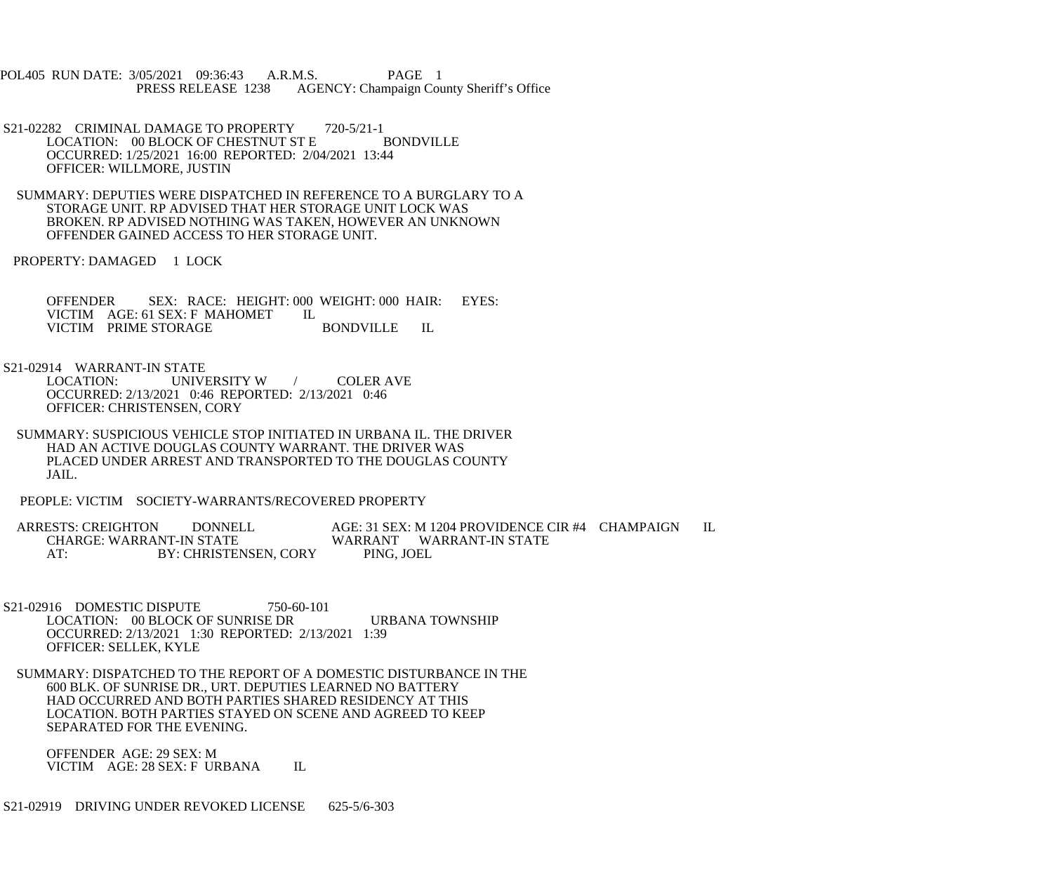POL405 RUN DATE: 3/05/2021 09:36:43 A.R.M.S. PAGE 1<br>PRESS RELEASE 1238 AGENCY: Champaign Cou AGENCY: Champaign County Sheriff's Office

- S21-02282 CRIMINAL DAMAGE TO PROPERTY 720-5/21-1<br>LOCATION: 00 BLOCK OF CHESTNUT ST E BONDVILLE LOCATION: 00 BLOCK OF CHESTNUT ST E OCCURRED: 1/25/2021 16:00 REPORTED: 2/04/2021 13:44 OFFICER: WILLMORE, JUSTIN
- SUMMARY: DEPUTIES WERE DISPATCHED IN REFERENCE TO A BURGLARY TO A STORAGE UNIT. RP ADVISED THAT HER STORAGE UNIT LOCK WAS BROKEN. RP ADVISED NOTHING WAS TAKEN, HOWEVER AN UNKNOWN OFFENDER GAINED ACCESS TO HER STORAGE UNIT.
- PROPERTY: DAMAGED 1 LOCK

 OFFENDER SEX: RACE: HEIGHT: 000 WEIGHT: 000 HAIR: EYES: VICTIM AGE: 61 SEX: F MAHOMET IL VICTIM PRIME STORAGE BONDVILLE IL

S21-02914 WARRANT-IN STATE<br>LOCATION: UNIVI

UNIVERSITY W / COLER AVE OCCURRED: 2/13/2021 0:46 REPORTED: 2/13/2021 0:46 OFFICER: CHRISTENSEN, CORY

- SUMMARY: SUSPICIOUS VEHICLE STOP INITIATED IN URBANA IL. THE DRIVER HAD AN ACTIVE DOUGLAS COUNTY WARRANT. THE DRIVER WAS PLACED UNDER ARREST AND TRANSPORTED TO THE DOUGLAS COUNTY JAIL.
- PEOPLE: VICTIM SOCIETY-WARRANTS/RECOVERED PROPERTY

 ARRESTS: CREIGHTON DONNELL AGE: 31 SEX: M 1204 PROVIDENCE CIR #4 CHAMPAIGN IL CHARGE: WARRANT-IN STATE WARRANT WARRANT-IN STATE<br>AT: BY: CHRISTENSEN, CORY PING, JOEL BY: CHRISTENSEN, CORY

- S21-02916 DOMESTIC DISPUTE 750-60-101 LOCATION: 00 BLOCK OF SUNRISE DR URBANA TOWNSHIP OCCURRED: 2/13/2021 1:30 REPORTED: 2/13/2021 1:39 OFFICER: SELLEK, KYLE
- SUMMARY: DISPATCHED TO THE REPORT OF A DOMESTIC DISTURBANCE IN THE 600 BLK. OF SUNRISE DR., URT. DEPUTIES LEARNED NO BATTERY HAD OCCURRED AND BOTH PARTIES SHARED RESIDENCY AT THIS LOCATION. BOTH PARTIES STAYED ON SCENE AND AGREED TO KEEP SEPARATED FOR THE EVENING.
	- OFFENDER AGE: 29 SEX: M VICTIM AGE: 28 SEX: F URBANA IL
- S21-02919 DRIVING UNDER REVOKED LICENSE 625-5/6-303